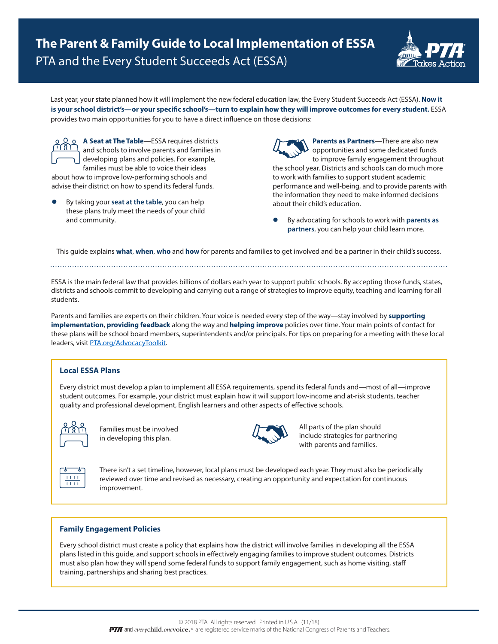

Last year, your state planned how it will implement the new federal education law, the Every Student Succeeds Act (ESSA). **Now it is your school district's—or your specific school's—turn to explain how they will improve outcomes for every student.** ESSA provides two main opportunities for you to have a direct influence on those decisions:

**A Seat at The Table**—ESSA requires districts and schools to involve parents and families in developing plans and policies. For example, families must be able to voice their ideas

about how to improve low-performing schools and advise their district on how to spend its federal funds.

l By taking your **seat at the table**, you can help these plans truly meet the needs of your child and community.

**Parents as Partners**—There are also new opportunities and some dedicated funds to improve family engagement throughout the school year. Districts and schools can do much more to work with families to support student academic performance and well-being, and to provide parents with the information they need to make informed decisions about their child's education.

l By advocating for schools to work with **parents as partners**, you can help your child learn more.

This guide explains **what**, **when**, **who** and **how** for parents and families to get involved and be a partner in their child's success.

ESSA is the main federal law that provides billions of dollars each year to support public schools. By accepting those funds, states, districts and schools commit to developing and carrying out a range of strategies to improve equity, teaching and learning for all students.

Parents and families are experts on their children. Your voice is needed every step of the way—stay involved by **supporting implementation**, **providing feedback** along the way and **helping improve** policies over time. Your main points of contact for these plans will be school board members, superintendents and/or principals. For tips on preparing for a meeting with these local leaders, visit [PTA.org/AdvocacyToolkit.](http://PTA.org/AdvocacyToolkit)

# **Local ESSA Plans**

Every district must develop a plan to implement all ESSA requirements, spend its federal funds and—most of all—improve student outcomes. For example, your district must explain how it will support low-income and at-risk students, teacher quality and professional development, English learners and other aspects of effective schools.



Families must be involved in developing this plan.



All parts of the plan should include strategies for partnering with parents and families.

There isn't a set timeline, however, local plans must be developed each year. They must also be periodically reviewed over time and revised as necessary, creating an opportunity and expectation for continuous improvement.

# **Family Engagement Policies**

Every school district must create a policy that explains how the district will involve families in developing all the ESSA plans listed in this guide, and support schools in effectively engaging families to improve student outcomes. Districts must also plan how they will spend some federal funds to support family engagement, such as home visiting, staff training, partnerships and sharing best practices.